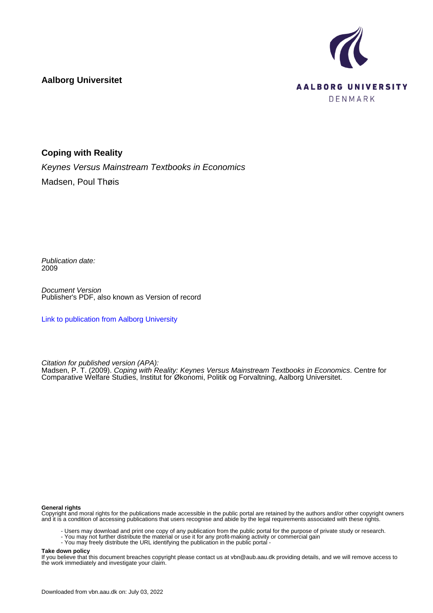

**Aalborg Universitet**

### **Coping with Reality**

Keynes Versus Mainstream Textbooks in Economics Madsen, Poul Thøis

Publication date: 2009

Document Version Publisher's PDF, also known as Version of record

[Link to publication from Aalborg University](https://vbn.aau.dk/en/publications/8091f330-6b83-11de-9003-000ea68e967b)

Citation for published version (APA):

Madsen, P. T. (2009). Coping with Reality: Keynes Versus Mainstream Textbooks in Economics. Centre for Comparative Welfare Studies, Institut for Økonomi, Politik og Forvaltning, Aalborg Universitet.

#### **General rights**

Copyright and moral rights for the publications made accessible in the public portal are retained by the authors and/or other copyright owners and it is a condition of accessing publications that users recognise and abide by the legal requirements associated with these rights.

- Users may download and print one copy of any publication from the public portal for the purpose of private study or research.
- You may not further distribute the material or use it for any profit-making activity or commercial gain
- You may freely distribute the URL identifying the publication in the public portal -

#### **Take down policy**

If you believe that this document breaches copyright please contact us at vbn@aub.aau.dk providing details, and we will remove access to the work immediately and investigate your claim.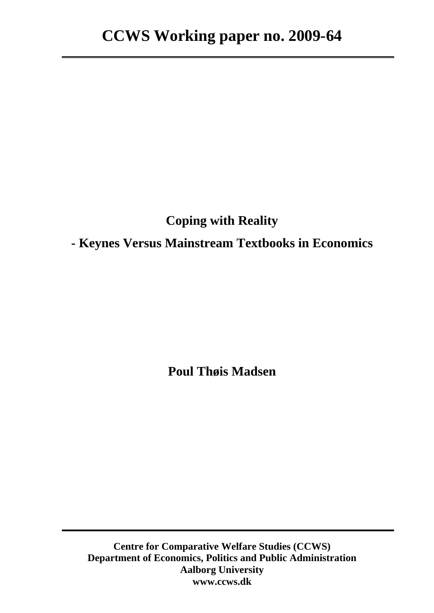# **Coping with Reality**

## **- Keynes Versus Mainstream Textbooks in Economics**

**Poul Thøis Madsen** 

**Centre for Comparative Welfare Studies (CCWS) Department of Economics, Politics and Public Administration Aalborg University www.ccws.dk**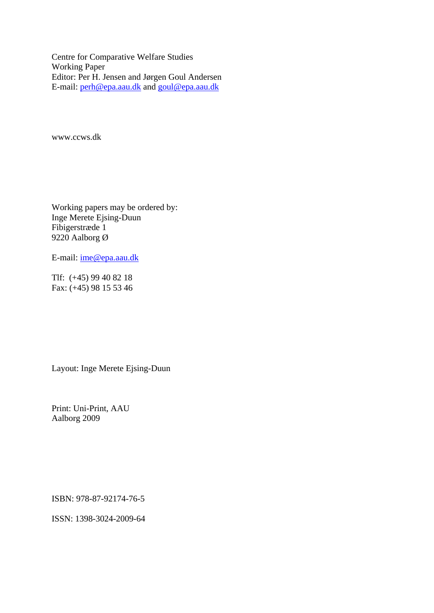Centre for Comparative Welfare Studies Working Paper Editor: Per H. Jensen and Jørgen Goul Andersen E-mail: [perh@epa.aau.dk](mailto:perh@epa.aau.dk) and [goul@epa.aau.dk](mailto:goul@socsci.aau.dk)

www.ccws.dk

Working papers may be ordered by: Inge Merete Ejsing-Duun Fibigerstræde 1 9220 Aalborg Ø

E-mail: [ime@epa.aau.dk](mailto:ime@epa.aau.dk)

Tlf: (+45) 99 40 82 18 Fax: (+45) 98 15 53 46

Layout: Inge Merete Ejsing-Duun

Print: Uni-Print, AAU Aalborg 2009

ISBN: 978-87-92174-76-5

ISSN: 1398-3024-2009-64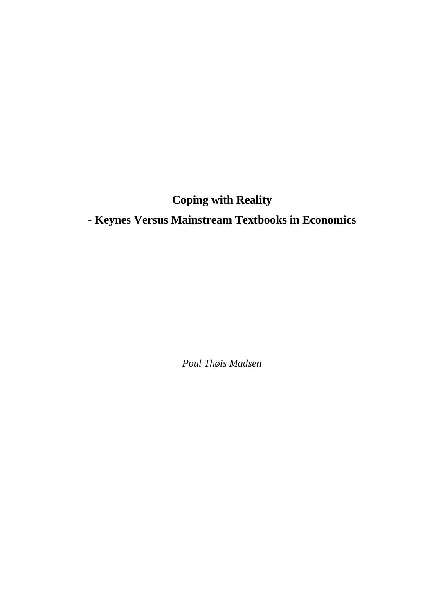**Coping with Reality** 

# **- Keynes Versus Mainstream Textbooks in Economics**

*Poul Thøis Madsen*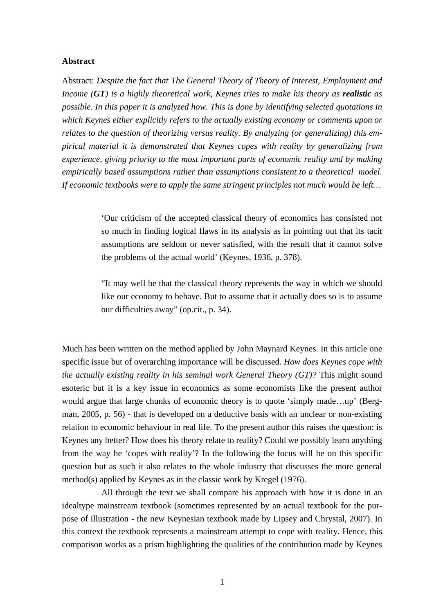#### **Abstract**

Abstract: *Despite the fact that The General Theory of Theory of Interest, Employment and Income (GT) is a highly theoretical work, Keynes tries to make his theory as realistic as possible. In this paper it is analyzed how. This is done by identifying selected quotations in which Keynes either explicitly refers to the actually existing economy or comments upon or relates to the question of theorizing versus reality. By analyzing (or generalizing) this empirical material it is demonstrated that Keynes copes with reality by generalizing from experience, giving priority to the most important parts of economic reality and by making empirically based assumptions rather than assumptions consistent to a theoretical model. If economic textbooks were to apply the same stringent principles not much would be left…*

> 'Our criticism of the accepted classical theory of economics has consisted not so much in finding logical flaws in its analysis as in pointing out that its tacit assumptions are seldom or never satisfied, with the result that it cannot solve the problems of the actual world' (Keynes, 1936, p. 378).

> "It may well be that the classical theory represents the way in which we should like our economy to behave. But to assume that it actually does so is to assume our difficulties away" (op.cit., p. 34).

Much has been written on the method applied by John Maynard Keynes. In this article one specific issue but of overarching importance will be discussed. *How does Keynes cope with the actually existing reality in his seminal work General Theory (GT)?* This might sound esoteric but it is a key issue in economics as some economists like the present author would argue that large chunks of economic theory is to quote 'simply made…up' (Bergman, 2005, p. 56) - that is developed on a deductive basis with an unclear or non-existing relation to economic behaviour in real life. To the present author this raises the question: is Keynes any better? How does his theory relate to reality? Could we possibly learn anything from the way he 'copes with reality'? In the following the focus will be on this specific question but as such it also relates to the whole industry that discusses the more general method(s) applied by Keynes as in the classic work by Kregel (1976).

 All through the text we shall compare his approach with how it is done in an idealtype mainstream textbook (sometimes represented by an actual textbook for the purpose of illustration - the new Keynesian textbook made by Lipsey and Chrystal, 2007). In this context the textbook represents a mainstream attempt to cope with reality. Hence, this comparison works as a prism highlighting the qualities of the contribution made by Keynes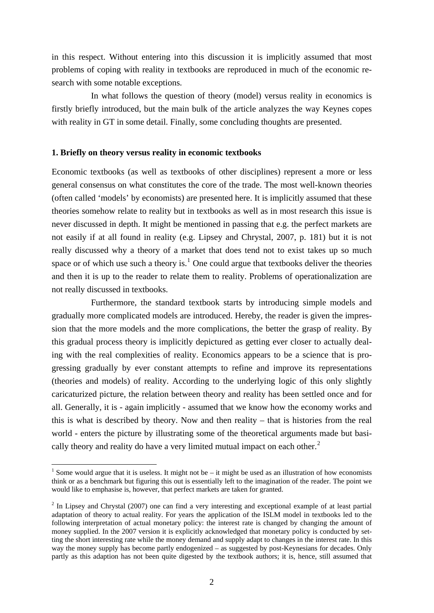in this respect. Without entering into this discussion it is implicitly assumed that most problems of coping with reality in textbooks are reproduced in much of the economic research with some notable exceptions.

 In what follows the question of theory (model) versus reality in economics is firstly briefly introduced, but the main bulk of the article analyzes the way Keynes copes with reality in GT in some detail. Finally, some concluding thoughts are presented.

#### **1. Briefly on theory versus reality in economic textbooks**

Economic textbooks (as well as textbooks of other disciplines) represent a more or less general consensus on what constitutes the core of the trade. The most well-known theories (often called 'models' by economists) are presented here. It is implicitly assumed that these theories somehow relate to reality but in textbooks as well as in most research this issue is never discussed in depth. It might be mentioned in passing that e.g. the perfect markets are not easily if at all found in reality (e.g. Lipsey and Chrystal, 2007, p. 181) but it is not really discussed why a theory of a market that does tend not to exist takes up so much space or of which use such a theory is.<sup>[1](#page-6-0)</sup> One could argue that textbooks deliver the theories and then it is up to the reader to relate them to reality. Problems of operationalization are not really discussed in textbooks.

 Furthermore, the standard textbook starts by introducing simple models and gradually more complicated models are introduced. Hereby, the reader is given the impression that the more models and the more complications, the better the grasp of reality. By this gradual process theory is implicitly depictured as getting ever closer to actually dealing with the real complexities of reality. Economics appears to be a science that is progressing gradually by ever constant attempts to refine and improve its representations (theories and models) of reality. According to the underlying logic of this only slightly caricaturized picture, the relation between theory and reality has been settled once and for all. Generally, it is - again implicitly - assumed that we know how the economy works and this is what is described by theory. Now and then reality – that is histories from the real world - enters the picture by illustrating some of the theoretical arguments made but basi-cally theory and reality do have a very limited mutual impact on each other.<sup>[2](#page-6-1)</sup>

1

<span id="page-6-0"></span><sup>&</sup>lt;sup>1</sup> Some would argue that it is useless. It might not be – it might be used as an illustration of how economists think or as a benchmark but figuring this out is essentially left to the imagination of the reader. The point we would like to emphasise is, however, that perfect markets are taken for granted.

<span id="page-6-1"></span> $2 \text{ In Lipsey and Chrystal}$  (2007) one can find a very interesting and exceptional example of at least partial adaptation of theory to actual reality. For years the application of the ISLM model in textbooks led to the following interpretation of actual monetary policy: the interest rate is changed by changing the amount of money supplied. In the 2007 version it is explicitly acknowledged that monetary policy is conducted by setting the short interesting rate while the money demand and supply adapt to changes in the interest rate. In this way the money supply has become partly endogenized – as suggested by post-Keynesians for decades. Only partly as this adaption has not been quite digested by the textbook authors; it is, hence, still assumed that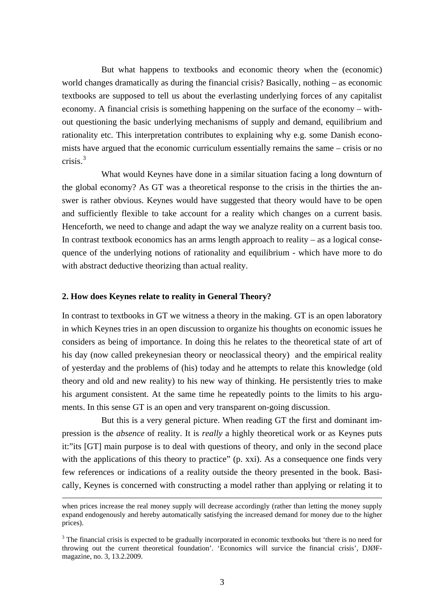But what happens to textbooks and economic theory when the (economic) world changes dramatically as during the financial crisis? Basically, nothing – as economic textbooks are supposed to tell us about the everlasting underlying forces of any capitalist economy. A financial crisis is something happening on the surface of the economy – without questioning the basic underlying mechanisms of supply and demand, equilibrium and rationality etc. This interpretation contributes to explaining why e.g. some Danish economists have argued that the economic curriculum essentially remains the same – crisis or no crisis. $3$ 

 What would Keynes have done in a similar situation facing a long downturn of the global economy? As GT was a theoretical response to the crisis in the thirties the answer is rather obvious. Keynes would have suggested that theory would have to be open and sufficiently flexible to take account for a reality which changes on a current basis. Henceforth, we need to change and adapt the way we analyze reality on a current basis too. In contrast textbook economics has an arms length approach to reality  $-$  as a logical consequence of the underlying notions of rationality and equilibrium - which have more to do with abstract deductive theorizing than actual reality.

#### **2. How does Keynes relate to reality in General Theory?**

In contrast to textbooks in GT we witness a theory in the making. GT is an open laboratory in which Keynes tries in an open discussion to organize his thoughts on economic issues he considers as being of importance. In doing this he relates to the theoretical state of art of his day (now called prekeynesian theory or neoclassical theory) and the empirical reality of yesterday and the problems of (his) today and he attempts to relate this knowledge (old theory and old and new reality) to his new way of thinking. He persistently tries to make his argument consistent. At the same time he repeatedly points to the limits to his arguments. In this sense GT is an open and very transparent on-going discussion.

 But this is a very general picture. When reading GT the first and dominant impression is the *absence* of reality. It is *really* a highly theoretical work or as Keynes puts it:"its [GT] main purpose is to deal with questions of theory, and only in the second place with the applications of this theory to practice" (p. xxi). As a consequence one finds very few references or indications of a reality outside the theory presented in the book. Basically, Keynes is concerned with constructing a model rather than applying or relating it to

when prices increase the real money supply will decrease accordingly (rather than letting the money supply expand endogenously and hereby automatically satisfying the increased demand for money due to the higher prices).

<span id="page-7-0"></span><sup>&</sup>lt;sup>3</sup> The financial crisis is expected to be gradually incorporated in economic textbooks but 'there is no need for throwing out the current theoretical foundation'. 'Economics will survice the financial crisis', DJØFmagazine, no. 3, 13.2.2009.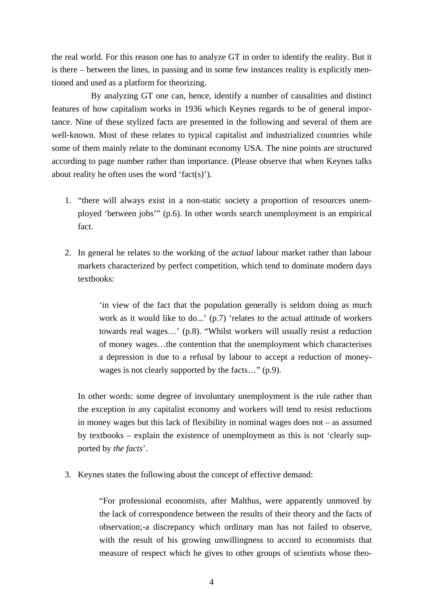the real world. For this reason one has to analyze GT in order to identify the reality. But it is there – between the lines, in passing and in some few instances reality is explicitly mentioned and used as a platform for theorizing.

 By analyzing GT one can, hence, identify a number of causalities and distinct features of how capitalism works in 1936 which Keynes regards to be of general importance. Nine of these stylized facts are presented in the following and several of them are well-known. Most of these relates to typical capitalist and industrialized countries while some of them mainly relate to the dominant economy USA. The nine points are structured according to page number rather than importance. (Please observe that when Keynes talks about reality he often uses the word 'fact(s)').

- 1. "there will always exist in a non-static society a proportion of resources unemployed 'between jobs'" (p.6). In other words search unemployment is an empirical fact.
- 2. In general he relates to the working of the *actual* labour market rather than labour markets characterized by perfect competition, which tend to dominate modern days textbooks:

'in view of the fact that the population generally is seldom doing as much work as it would like to do...' (p.7) 'relates to the actual attitude of workers towards real wages…' (p.8). "Whilst workers will usually resist a reduction of money wages…the contention that the unemployment which characterises a depression is due to a refusal by labour to accept a reduction of moneywages is not clearly supported by the facts..." (p.9).

In other words: some degree of involuntary unemployment is the rule rather than the exception in any capitalist economy and workers will tend to resist reductions in money wages but this lack of flexibility in nominal wages does not – as assumed by textbooks – explain the existence of unemployment as this is not 'clearly supported by *the facts*'.

3. Keynes states the following about the concept of effective demand:

"For professional economists, after Malthus, were apparently unmoved by the lack of correspondence between the results of their theory and the facts of observation;-a discrepancy which ordinary man has not failed to observe, with the result of his growing unwillingness to accord to economists that measure of respect which he gives to other groups of scientists whose theo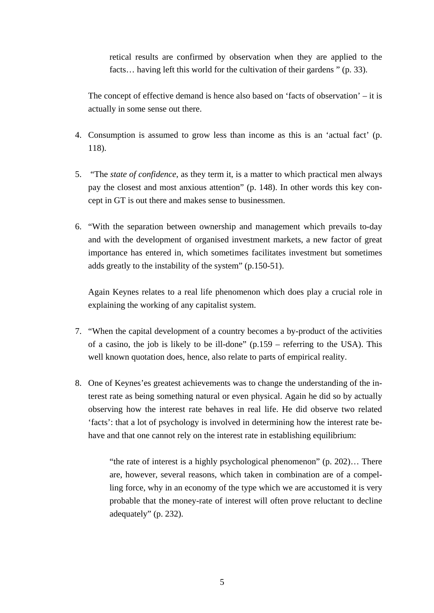retical results are confirmed by observation when they are applied to the facts... having left this world for the cultivation of their gardens " (p. 33).

The concept of effective demand is hence also based on 'facts of observation' – it is actually in some sense out there.

- 4. Consumption is assumed to grow less than income as this is an 'actual fact' (p. 118).
- 5. "The *state of confidence*, as they term it, is a matter to which practical men always pay the closest and most anxious attention" (p. 148). In other words this key concept in GT is out there and makes sense to businessmen.
- 6. "With the separation between ownership and management which prevails to-day and with the development of organised investment markets, a new factor of great importance has entered in, which sometimes facilitates investment but sometimes adds greatly to the instability of the system" (p.150-51).

Again Keynes relates to a real life phenomenon which does play a crucial role in explaining the working of any capitalist system.

- 7. "When the capital development of a country becomes a by-product of the activities of a casino, the job is likely to be ill-done" (p.159 – referring to the USA). This well known quotation does, hence, also relate to parts of empirical reality.
- 8. One of Keynes'es greatest achievements was to change the understanding of the interest rate as being something natural or even physical. Again he did so by actually observing how the interest rate behaves in real life. He did observe two related 'facts': that a lot of psychology is involved in determining how the interest rate behave and that one cannot rely on the interest rate in establishing equilibrium:

"the rate of interest is a highly psychological phenomenon" (p. 202)… There are, however, several reasons, which taken in combination are of a compelling force, why in an economy of the type which we are accustomed it is very probable that the money-rate of interest will often prove reluctant to decline adequately" (p. 232).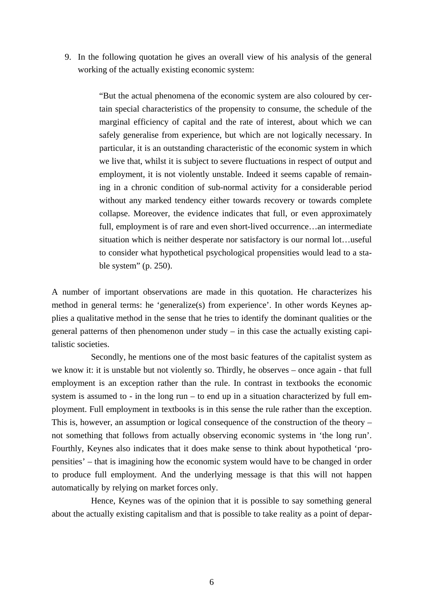9. In the following quotation he gives an overall view of his analysis of the general working of the actually existing economic system:

> "But the actual phenomena of the economic system are also coloured by certain special characteristics of the propensity to consume, the schedule of the marginal efficiency of capital and the rate of interest, about which we can safely generalise from experience, but which are not logically necessary. In particular, it is an outstanding characteristic of the economic system in which we live that, whilst it is subject to severe fluctuations in respect of output and employment, it is not violently unstable. Indeed it seems capable of remaining in a chronic condition of sub-normal activity for a considerable period without any marked tendency either towards recovery or towards complete collapse. Moreover, the evidence indicates that full, or even approximately full, employment is of rare and even short-lived occurrence…an intermediate situation which is neither desperate nor satisfactory is our normal lot…useful to consider what hypothetical psychological propensities would lead to a stable system" (p. 250).

A number of important observations are made in this quotation. He characterizes his method in general terms: he 'generalize(s) from experience'. In other words Keynes applies a qualitative method in the sense that he tries to identify the dominant qualities or the general patterns of then phenomenon under study – in this case the actually existing capitalistic societies.

 Secondly, he mentions one of the most basic features of the capitalist system as we know it: it is unstable but not violently so. Thirdly, he observes – once again - that full employment is an exception rather than the rule. In contrast in textbooks the economic system is assumed to - in the long run – to end up in a situation characterized by full employment. Full employment in textbooks is in this sense the rule rather than the exception. This is, however, an assumption or logical consequence of the construction of the theory – not something that follows from actually observing economic systems in 'the long run'. Fourthly, Keynes also indicates that it does make sense to think about hypothetical 'propensities' – that is imagining how the economic system would have to be changed in order to produce full employment. And the underlying message is that this will not happen automatically by relying on market forces only.

 Hence, Keynes was of the opinion that it is possible to say something general about the actually existing capitalism and that is possible to take reality as a point of depar-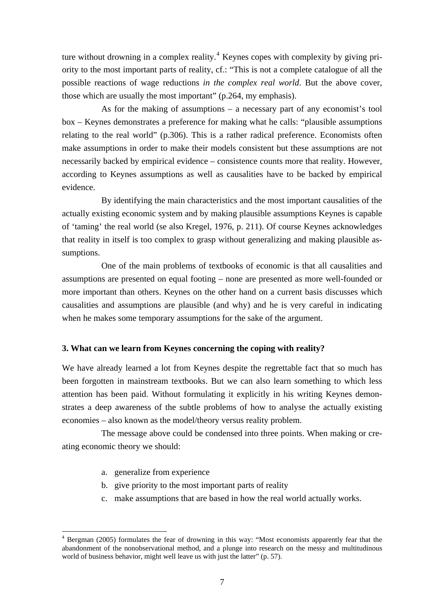ture without drowning in a complex reality.<sup>[4](#page-11-0)</sup> Keynes copes with complexity by giving priority to the most important parts of reality, cf.: "This is not a complete catalogue of all the possible reactions of wage reductions *in the complex real world*. But the above cover, those which are usually the most important" (p.264, my emphasis).

 As for the making of assumptions – a necessary part of any economist's tool box – Keynes demonstrates a preference for making what he calls: "plausible assumptions relating to the real world" (p.306). This is a rather radical preference. Economists often make assumptions in order to make their models consistent but these assumptions are not necessarily backed by empirical evidence – consistence counts more that reality. However, according to Keynes assumptions as well as causalities have to be backed by empirical evidence.

 By identifying the main characteristics and the most important causalities of the actually existing economic system and by making plausible assumptions Keynes is capable of 'taming' the real world (se also Kregel, 1976, p. 211). Of course Keynes acknowledges that reality in itself is too complex to grasp without generalizing and making plausible assumptions.

 One of the main problems of textbooks of economic is that all causalities and assumptions are presented on equal footing – none are presented as more well-founded or more important than others. Keynes on the other hand on a current basis discusses which causalities and assumptions are plausible (and why) and he is very careful in indicating when he makes some temporary assumptions for the sake of the argument.

#### **3. What can we learn from Keynes concerning the coping with reality?**

We have already learned a lot from Keynes despite the regrettable fact that so much has been forgotten in mainstream textbooks. But we can also learn something to which less attention has been paid. Without formulating it explicitly in his writing Keynes demonstrates a deep awareness of the subtle problems of how to analyse the actually existing economies – also known as the model/theory versus reality problem.

 The message above could be condensed into three points. When making or creating economic theory we should:

a. generalize from experience

1

- b. give priority to the most important parts of reality
- c. make assumptions that are based in how the real world actually works.

<span id="page-11-0"></span><sup>&</sup>lt;sup>4</sup> Bergman (2005) formulates the fear of drowning in this way: "Most economists apparently fear that the abandonment of the nonobservational method, and a plunge into research on the messy and multitudinous world of business behavior, might well leave us with just the latter" (p. 57).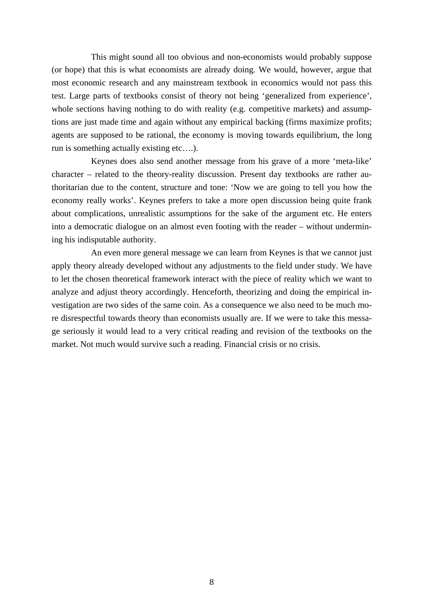This might sound all too obvious and non-economists would probably suppose (or hope) that this is what economists are already doing. We would, however, argue that most economic research and any mainstream textbook in economics would not pass this test. Large parts of textbooks consist of theory not being 'generalized from experience', whole sections having nothing to do with reality (e.g. competitive markets) and assumptions are just made time and again without any empirical backing (firms maximize profits; agents are supposed to be rational, the economy is moving towards equilibrium, the long run is something actually existing etc….).

 Keynes does also send another message from his grave of a more 'meta-like' character – related to the theory-reality discussion. Present day textbooks are rather authoritarian due to the content, structure and tone: 'Now we are going to tell you how the economy really works'. Keynes prefers to take a more open discussion being quite frank about complications, unrealistic assumptions for the sake of the argument etc. He enters into a democratic dialogue on an almost even footing with the reader – without undermining his indisputable authority.

 An even more general message we can learn from Keynes is that we cannot just apply theory already developed without any adjustments to the field under study. We have to let the chosen theoretical framework interact with the piece of reality which we want to analyze and adjust theory accordingly. Henceforth, theorizing and doing the empirical investigation are two sides of the same coin. As a consequence we also need to be much more disrespectful towards theory than economists usually are. If we were to take this message seriously it would lead to a very critical reading and revision of the textbooks on the market. Not much would survive such a reading. Financial crisis or no crisis.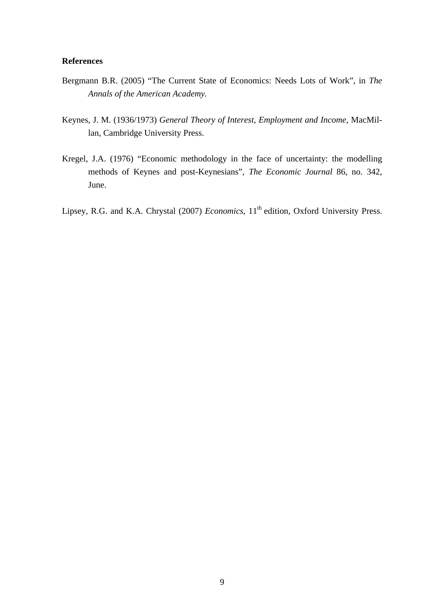### **References**

- Bergmann B.R. (2005) "The Current State of Economics: Needs Lots of Work", in *The Annals of the American Academy.*
- Keynes, J. M. (1936/1973) *General Theory of Interest, Employment and Income*, MacMillan, Cambridge University Press.
- Kregel, J.A. (1976) "Economic methodology in the face of uncertainty: the modelling methods of Keynes and post-Keynesians", *The Economic Journal* 86, no. 342, June.
- Lipsey, R.G. and K.A. Chrystal (2007) *Economics*, 11<sup>th</sup> edition, Oxford University Press.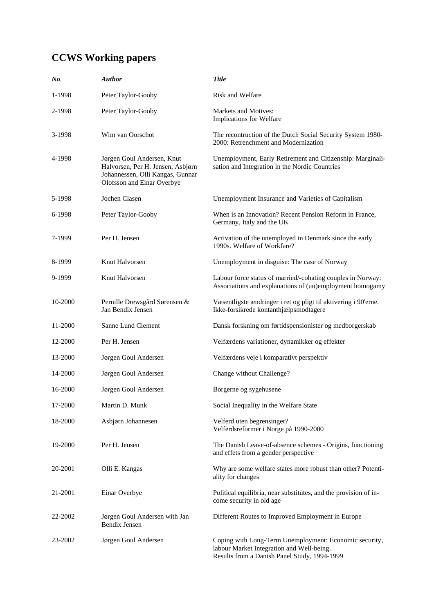## **CCWS Working papers**

| No.     | <b>Author</b>                                                                                                                     | <b>Title</b>                                                                                                                                        |
|---------|-----------------------------------------------------------------------------------------------------------------------------------|-----------------------------------------------------------------------------------------------------------------------------------------------------|
| 1-1998  | Peter Taylor-Gooby                                                                                                                | Risk and Welfare                                                                                                                                    |
| 2-1998  | Peter Taylor-Gooby                                                                                                                | Markets and Motives:<br>Implications for Welfare                                                                                                    |
| 3-1998  | Wim van Oorschot                                                                                                                  | The recontruction of the Dutch Social Security System 1980-<br>2000: Retrenchment and Modernization                                                 |
| 4-1998  | Jørgen Goul Andersen, Knut<br>Halvorsen, Per H. Jensen, Asbjørn<br>Johannessen, Olli Kangas, Gunnar<br>Olofsson and Einar Overbye | Unemployment, Early Retirement and Citizenship: Marginali-<br>sation and Integration in the Nordic Countries                                        |
| 5-1998  | Jochen Clasen                                                                                                                     | Unemployment Insurance and Varieties of Capitalism                                                                                                  |
| 6-1998  | Peter Taylor-Gooby                                                                                                                | When is an Innovation? Recent Pension Reform in France,<br>Germany, Italy and the UK                                                                |
| 7-1999  | Per H. Jensen                                                                                                                     | Activation of the unemployed in Denmark since the early<br>1990s. Welfare of Workfare?                                                              |
| 8-1999  | Knut Halvorsen                                                                                                                    | Unemployment in disguise: The case of Norway                                                                                                        |
| 9-1999  | Knut Halvorsen                                                                                                                    | Labour force status of married/-cohating couples in Norway:<br>Associations and explanations of (un)employment homogamy                             |
| 10-2000 | Pernille Drewsgård Sørensen &<br>Jan Bendix Jensen                                                                                | Væsentligste ændringer i ret og pligt til aktivering i 90'erne.<br>Ikke-forsikrede kontanthjælpsmodtagere                                           |
| 11-2000 | Sanne Lund Clement                                                                                                                | Dansk forskning om førtidspensionister og medborgerskab                                                                                             |
| 12-2000 | Per H. Jensen                                                                                                                     | Velfærdens variationer, dynamikker og effekter                                                                                                      |
| 13-2000 | Jørgen Goul Andersen                                                                                                              | Velfærdens veje i komparativt perspektiv                                                                                                            |
| 14-2000 | Jørgen Goul Andersen                                                                                                              | Change without Challenge?                                                                                                                           |
| 16-2000 | Jørgen Goul Andersen                                                                                                              | Borgerne og sygehusene                                                                                                                              |
| 17-2000 | Martin D. Munk                                                                                                                    | Social Inequality in the Welfare State                                                                                                              |
| 18-2000 | Asbjørn Johannesen                                                                                                                | Velferd uten begrensinger?<br>Velferdsreformer i Norge på 1990-2000                                                                                 |
| 19-2000 | Per H. Jensen                                                                                                                     | The Danish Leave-of-absence schemes - Origins, functioning<br>and effets from a gender perspective                                                  |
| 20-2001 | Olli E. Kangas                                                                                                                    | Why are some welfare states more robust than other? Potenti-<br>ality for changes                                                                   |
| 21-2001 | Einar Overbye                                                                                                                     | Political equilibria, near substitutes, and the provision of in-<br>come security in old age                                                        |
| 22-2002 | Jørgen Goul Andersen with Jan<br><b>Bendix Jensen</b>                                                                             | Different Routes to Improved Employment in Europe                                                                                                   |
| 23-2002 | Jørgen Goul Andersen                                                                                                              | Coping with Long-Term Unemployment: Economic security,<br>labour Market Integration and Well-being.<br>Results from a Danish Panel Study, 1994-1999 |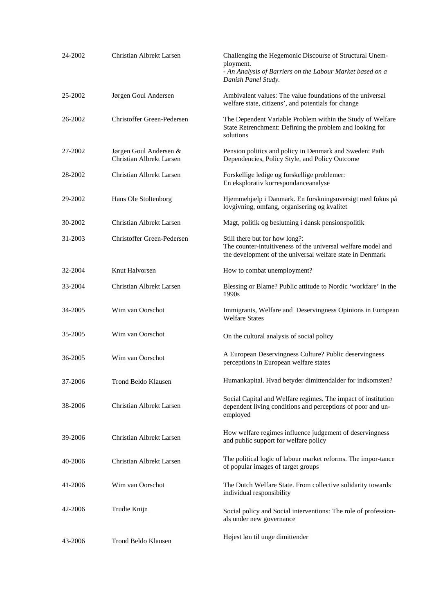| 24-2002 | Christian Albrekt Larsen                           | Challenging the Hegemonic Discourse of Structural Unem-<br>ployment.<br>- An Analysis of Barriers on the Labour Market based on a<br>Danish Panel Study.    |
|---------|----------------------------------------------------|-------------------------------------------------------------------------------------------------------------------------------------------------------------|
| 25-2002 | Jørgen Goul Andersen                               | Ambivalent values: The value foundations of the universal<br>welfare state, citizens', and potentials for change                                            |
| 26-2002 | Christoffer Green-Pedersen                         | The Dependent Variable Problem within the Study of Welfare<br>State Retrenchment: Defining the problem and looking for<br>solutions                         |
| 27-2002 | Jørgen Goul Andersen &<br>Christian Albrekt Larsen | Pension politics and policy in Denmark and Sweden: Path<br>Dependencies, Policy Style, and Policy Outcome                                                   |
| 28-2002 | Christian Albrekt Larsen                           | Forskellige ledige og forskellige problemer:<br>En eksplorativ korrespondanceanalyse                                                                        |
| 29-2002 | Hans Ole Stoltenborg                               | Hjemmehjælp i Danmark. En forskningsoversigt med fokus på<br>lovgivning, omfang, organisering og kvalitet                                                   |
| 30-2002 | Christian Albrekt Larsen                           | Magt, politik og beslutning i dansk pensionspolitik                                                                                                         |
| 31-2003 | Christoffer Green-Pedersen                         | Still there but for how long?:<br>The counter-intuitiveness of the universal welfare model and<br>the development of the universal welfare state in Denmark |
| 32-2004 | Knut Halvorsen                                     | How to combat unemployment?                                                                                                                                 |
| 33-2004 | Christian Albrekt Larsen                           | Blessing or Blame? Public attitude to Nordic 'workfare' in the<br>1990s                                                                                     |
| 34-2005 | Wim van Oorschot                                   | Immigrants, Welfare and Deservingness Opinions in European<br><b>Welfare States</b>                                                                         |
| 35-2005 | Wim van Oorschot                                   | On the cultural analysis of social policy                                                                                                                   |
| 36-2005 | Wim van Oorschot                                   | A European Deservingness Culture? Public deservingness<br>perceptions in European welfare states                                                            |
| 37-2006 | Trond Beldo Klausen                                | Humankapital. Hvad betyder dimittendalder for indkomsten?                                                                                                   |
| 38-2006 | Christian Albrekt Larsen                           | Social Capital and Welfare regimes. The impact of institution<br>dependent living conditions and perceptions of poor and un-<br>employed                    |
| 39-2006 | Christian Albrekt Larsen                           | How welfare regimes influence judgement of deservingness<br>and public support for welfare policy                                                           |
| 40-2006 | Christian Albrekt Larsen                           | The political logic of labour market reforms. The impor-tance<br>of popular images of target groups                                                         |
| 41-2006 | Wim van Oorschot                                   | The Dutch Welfare State. From collective solidarity towards<br>individual responsibility                                                                    |
| 42-2006 | Trudie Knijn                                       | Social policy and Social interventions: The role of profession-<br>als under new governance                                                                 |
| 43-2006 | Trond Beldo Klausen                                | Højest løn til unge dimittender                                                                                                                             |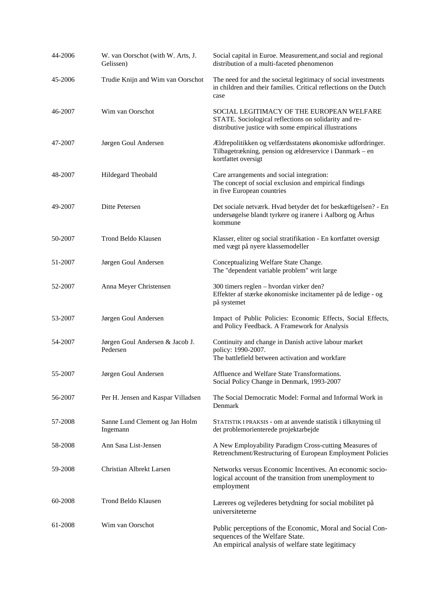| 44-2006 | W. van Oorschot (with W. Arts, J.<br>Gelissen) | Social capital in Euroe. Measurement, and social and regional<br>distribution of a multi-faceted phenomenon                                                  |
|---------|------------------------------------------------|--------------------------------------------------------------------------------------------------------------------------------------------------------------|
| 45-2006 | Trudie Knijn and Wim van Oorschot              | The need for and the societal legitimacy of social investments<br>in children and their families. Critical reflections on the Dutch<br>case                  |
| 46-2007 | Wim van Oorschot                               | SOCIAL LEGITIMACY OF THE EUROPEAN WELFARE<br>STATE. Sociological reflections on solidarity and re-<br>distributive justice with some empirical illustrations |
| 47-2007 | Jørgen Goul Andersen                           | Ældrepolitikken og velfærdsstatens økonomiske udfordringer.<br>Tilbagetrækning, pension og ældreservice i Danmark – en<br>kortfattet oversigt                |
| 48-2007 | Hildegard Theobald                             | Care arrangements and social integration:<br>The concept of social exclusion and empirical findings<br>in five European countries                            |
| 49-2007 | Ditte Petersen                                 | Det sociale netværk. Hvad betyder det for beskæftigelsen? - En<br>undersøgelse blandt tyrkere og iranere i Aalborg og Århus<br>kommune                       |
| 50-2007 | Trond Beldo Klausen                            | Klasser, eliter og social stratifikation - En kortfattet oversigt<br>med vægt på nyere klassemodeller                                                        |
| 51-2007 | Jørgen Goul Andersen                           | Conceptualizing Welfare State Change.<br>The "dependent variable problem" writ large                                                                         |
| 52-2007 | Anna Meyer Christensen                         | 300 timers reglen - hvordan virker den?<br>Effekter af stærke økonomiske incitamenter på de ledige - og<br>på systemet                                       |
| 53-2007 | Jørgen Goul Andersen                           | Impact of Public Policies: Economic Effects, Social Effects,<br>and Policy Feedback. A Framework for Analysis                                                |
| 54-2007 | Jørgen Goul Andersen & Jacob J.<br>Pedersen    | Continuity and change in Danish active labour market<br>policy: 1990-2007.<br>The battlefield between activation and workfare                                |
| 55-2007 | Jørgen Goul Andersen                           | Affluence and Welfare State Transformations.<br>Social Policy Change in Denmark, 1993-2007                                                                   |
| 56-2007 | Per H. Jensen and Kaspar Villadsen             | The Social Democratic Model: Formal and Informal Work in<br>Denmark                                                                                          |
| 57-2008 | Sanne Lund Clement og Jan Holm<br>Ingemann     | STATISTIK I PRAKSIS - om at anvende statistik i tilknytning til<br>det problemorienterede projektarbejde                                                     |
| 58-2008 | Ann Sasa List-Jensen                           | A New Employability Paradigm Cross-cutting Measures of<br>Retrenchment/Restructuring of European Employment Policies                                         |
| 59-2008 | Christian Albrekt Larsen                       | Networks versus Economic Incentives. An economic socio-<br>logical account of the transition from unemployment to<br>employment                              |
| 60-2008 | Trond Beldo Klausen                            | Læreres og vejlederes betydning for social mobilitet på<br>universiteterne                                                                                   |
| 61-2008 | Wim van Oorschot                               | Public perceptions of the Economic, Moral and Social Con-<br>sequences of the Welfare State.<br>An empirical analysis of welfare state legitimacy            |